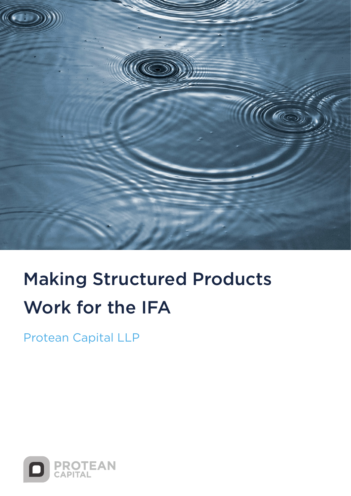

# Making Structured Products Work for the IFA

Protean Capital LLP

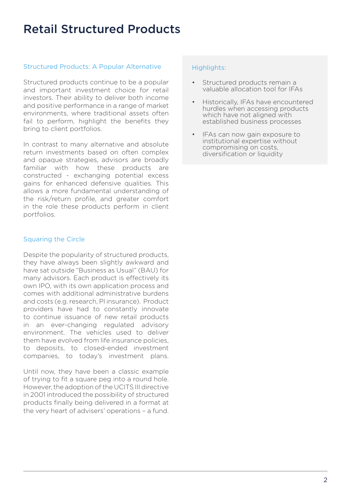### Retail Structured Products

#### Structured Products: A Popular Alternative

Structured products continue to be a popular and important investment choice for retail investors. Their ability to deliver both income and positive performance in a range of market environments, where traditional assets often fail to perform, highlight the benefits they bring to client portfolios.

In contrast to many alternative and absolute return investments based on often complex and opaque strategies, advisors are broadly familiar with how these products are constructed - exchanging potential excess gains for enhanced defensive qualities. This allows a more fundamental understanding of the risk/return profile, and greater comfort in the role these products perform in client portfolios.

#### Squaring the Circle

Despite the popularity of structured products, they have always been slightly awkward and have sat outside "Business as Usual" (BAU) for many advisors. Each product is effectively its own IPO, with its own application process and comes with additional administrative burdens and costs (e.g. research, PI insurance). Product providers have had to constantly innovate to continue issuance of new retail products in an ever-changing regulated advisory environment. The vehicles used to deliver them have evolved from life insurance policies, to deposits, to closed-ended investment companies, to today's investment plans.

Until now, they have been a classic example of trying to fit a square peg into a round hole. However, the adoption of the UCITS III directive in 2001 introduced the possibility of structured products finally being delivered in a format at the very heart of advisers' operations – a fund.

#### Highlights:

- Structured products remain a valuable allocation tool for IFAs
- Historically, IFAs have encountered hurdles when accessing products which have not aligned with established business processes
- IFAs can now gain exposure to institutional expertise without compromising on costs, diversification or liquidity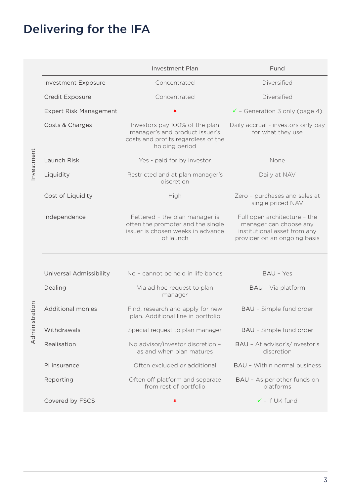## Delivering for the IFA

|                     |                               | <b>Investment Plan</b>                                                                                                    | Fund                                                                                                                   |
|---------------------|-------------------------------|---------------------------------------------------------------------------------------------------------------------------|------------------------------------------------------------------------------------------------------------------------|
| nvestment           | <b>Investment Exposure</b>    | Concentrated                                                                                                              | Diversified                                                                                                            |
|                     | Credit Exposure               | Concentrated                                                                                                              | Diversified                                                                                                            |
|                     | <b>Expert Risk Management</b> | $\pmb{\times}$                                                                                                            | $\checkmark$ - Generation 3 only (page 4)                                                                              |
|                     | Costs & Charges               | Investors pay 100% of the plan<br>manager's and product issuer's<br>costs and profits regardless of the<br>holding period | Daily accrual - investors only pay<br>for what they use                                                                |
|                     | Launch Risk                   | Yes - paid for by investor                                                                                                | None                                                                                                                   |
|                     | Liquidity                     | Restricted and at plan manager's<br>discretion                                                                            | Daily at NAV                                                                                                           |
|                     | Cost of Liquidity             | High                                                                                                                      | Zero - purchases and sales at<br>single priced NAV                                                                     |
|                     | Independence                  | Fettered - the plan manager is<br>often the promoter and the single<br>issuer is chosen weeks in advance<br>of launch     | Full open architecture - the<br>manager can choose any<br>institutional asset from any<br>provider on an ongoing basis |
|                     |                               |                                                                                                                           |                                                                                                                        |
|                     | Universal Admissibility       | No - cannot be held in life bonds                                                                                         | <b>BAU - Yes</b>                                                                                                       |
| istration<br>Admini | Dealing                       | Via ad hoc request to plan<br>manager                                                                                     | BAU - Via platform                                                                                                     |
|                     | <b>Additional monies</b>      | Find, research and apply for new<br>plan. Additional line in portfolio                                                    | BAU - Simple fund order                                                                                                |
|                     | Withdrawals                   | Special request to plan manager                                                                                           | BAU - Simple fund order                                                                                                |
|                     | Realisation                   | No advisor/investor discretion -<br>as and when plan matures                                                              | BAU - At advisor's/investor's<br>discretion                                                                            |
|                     | PI insurance                  | Often excluded or additional                                                                                              | <b>BAU - Within normal business</b>                                                                                    |
|                     | Reporting                     | Often off platform and separate<br>from rest of portfolio                                                                 | BAU - As per other funds on<br>platforms                                                                               |
|                     | Covered by FSCS               | $\pmb{\times}$                                                                                                            | $\checkmark$ - if UK fund                                                                                              |

3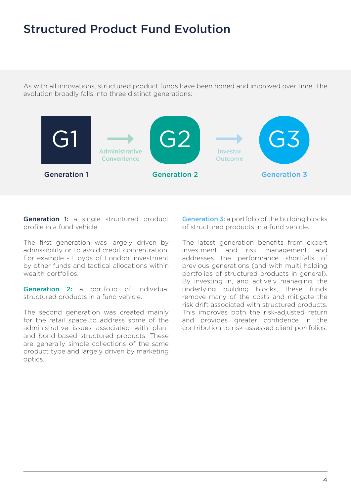### Structured Product Fund Evolution

As with all innovations, structured product funds have been honed and improved over time. The evolution broadly falls into three distinct generations:



**Generation 1:** a single structured product profile in a fund vehicle.

The first generation was largely driven by admissibility or to avoid credit concentration. For example - Lloyds of London, investment by other funds and tactical allocations within wealth portfolios.

Generation 2: a portfolio of individual structured products in a fund vehicle.

The second generation was created mainly for the retail space to address some of the administrative issues associated with planand bond-based structured products. These are generally simple collections of the same product type and largely driven by marketing optics.

**Generation 3:** a portfolio of the building blocks of structured products in a fund vehicle.

The latest generation benefits from expert investment and risk management and addresses the performance shortfalls of previous generations (and with multi holding portfolios of structured products in general). By investing in, and actively managing, the underlying building blocks, these funds remove many of the costs and mitigate the risk drift associated with structured products. This improves both the risk-adjusted return and provides greater confidence in the contribution to risk-assessed client portfolios.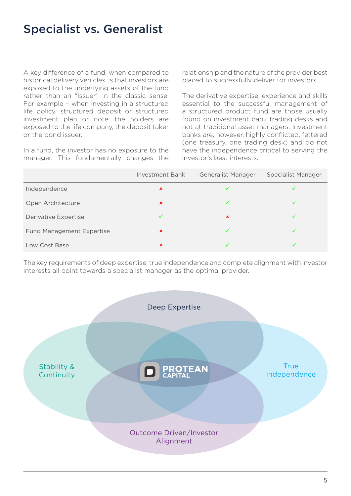### Specialist vs. Generalist

A key difference of a fund, when compared to historical delivery vehicles, is that investors are exposed to the underlying assets of the fund rather than an "Issuer" in the classic sense. For example – when investing in a structured life policy, structured deposit or structured investment plan or note, the holders are exposed to the life company, the deposit taker or the bond issuer.

In a fund, the investor has no exposure to the manager. This fundamentally changes the

relationship and the nature of the provider best placed to successfully deliver for investors.

The derivative expertise, experience and skills essential to the successful management of a structured product fund are those usually found on investment bank trading desks and not at traditional asset managers. Investment banks are, however, highly conflicted, fettered (one treasury, one trading desk) and do not have the independence critical to serving the investor's best interests.

|                                  | Investment Bank | Generalist Manager | <b>Specialist Manager</b> |
|----------------------------------|-----------------|--------------------|---------------------------|
| Independence                     | $\mathbf x$     |                    |                           |
| Open Architecture                | $\mathbf x$     |                    |                           |
| Derivative Expertise             |                 | ×                  | ✓                         |
| <b>Fund Management Expertise</b> | $\mathbf x$     |                    |                           |
| Low Cost Base                    | $\mathbf x$     |                    |                           |

The key requirements of deep expertise, true independence and complete alignment with investor interests all point towards a specialist manager as the optimal provider.

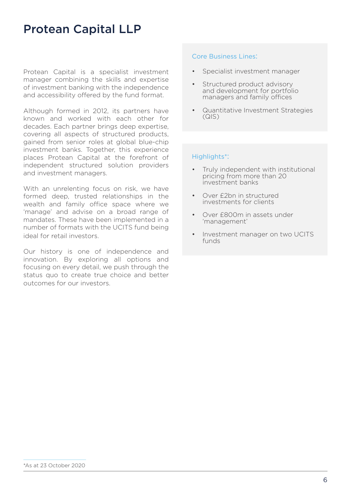### Protean Capital LLP

Protean Capital is a specialist investment manager combining the skills and expertise of investment banking with the independence and accessibility offered by the fund format.

Although formed in 2012, its partners have known and worked with each other for decades. Each partner brings deep expertise, covering all aspects of structured products, gained from senior roles at global blue-chip investment banks. Together, this experience places Protean Capital at the forefront of independent structured solution providers and investment managers.

With an unrelenting focus on risk, we have formed deep, trusted relationships in the wealth and family office space where we 'manage' and advise on a broad range of mandates. These have been implemented in a number of formats with the UCITS fund being ideal for retail investors.

Our history is one of independence and innovation. By exploring all options and focusing on every detail, we push through the status quo to create true choice and better outcomes for our investors.

#### Core Business Lines:

- Specialist investment manager
- Structured product advisory and development for portfolio managers and family offices
- Quantitative Investment Strategies (QIS)

#### Highlights\*:

- Truly independent with institutional pricing from more than 20 investment banks
- Over £2bn in structured investments for clients
- Over £800m in assets under 'management'
- Investment manager on two UCITS funds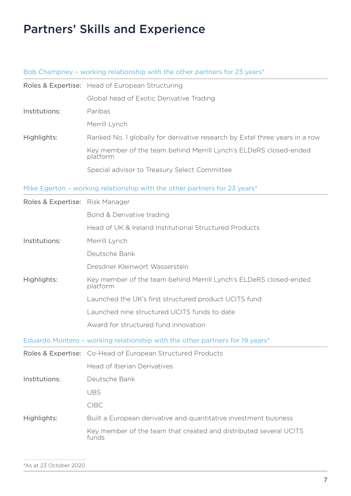### Partners' Skills and Experience

### Bob Champney – working relationship with the other partners for 23 years\*

|                                 | Roles & Expertise: Head of European Structuring                               |  |  |
|---------------------------------|-------------------------------------------------------------------------------|--|--|
|                                 | Global head of Exotic Derivative Trading                                      |  |  |
| Institutions:                   | Paribas                                                                       |  |  |
|                                 | Merrill Lynch                                                                 |  |  |
| Highlights:                     | Ranked No. 1 globally for derivative research by Extel three years in a row   |  |  |
|                                 | Key member of the team behind Merrill Lynch's ELDeRS closed-ended<br>platform |  |  |
|                                 | Special advisor to Treasury Select Committee                                  |  |  |
|                                 | Mike Egerton - working relationship with the other partners for 23 years*     |  |  |
| Roles & Expertise: Risk Manager |                                                                               |  |  |
|                                 | Bond & Derivative trading                                                     |  |  |
|                                 | Head of UK & Ireland Institutional Structured Products                        |  |  |
| Institutions:                   | Merrill Lynch                                                                 |  |  |
|                                 | Deutsche Bank                                                                 |  |  |
|                                 | Dresdner Kleinwort Wasserstein                                                |  |  |
| Highlights:                     | Key member of the team behind Merrill Lynch's ELDeRS closed-ended<br>platform |  |  |
|                                 | Launched the UK's first structured product UCITS fund                         |  |  |
|                                 | Launched nine structured UCITS funds to date                                  |  |  |
|                                 | Award for structured fund innovation                                          |  |  |
|                                 | Eduardo Montero - working relationship with the other partners for 19 years*  |  |  |
|                                 | Roles & Expertise: Co-Head of European Structured Products                    |  |  |
|                                 | Head of Iberian Derivatives                                                   |  |  |
| Institutions:                   | Deutsche Bank                                                                 |  |  |
|                                 | <b>UBS</b>                                                                    |  |  |
|                                 | <b>CIBC</b>                                                                   |  |  |
| Highlights:                     | Built a European derivative and quantitative investment business              |  |  |
|                                 | Key member of the team that created and distributed several UCITS<br>funds    |  |  |